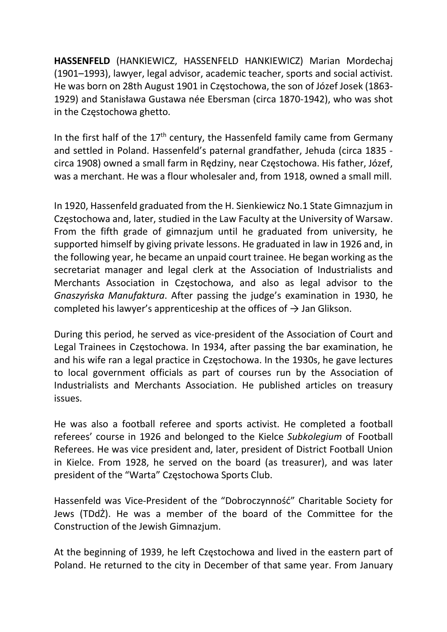HASSENFELD (HANKIEWICZ, HASSENFELD HANKIEWICZ) Marian Mordechaj (1901–1993), lawyer, legal advisor, academic teacher, sports and social activist. He was born on 28th August 1901 in Częstochowa, the son of Józef Josek (1863- 1929) and Stanisława Gustawa née Ebersman (circa 1870-1942), who was shot in the Częstochowa ghetto.

In the first half of the  $17<sup>th</sup>$  century, the Hassenfeld family came from Germany and settled in Poland. Hassenfeld's paternal grandfather, Jehuda (circa 1835 circa 1908) owned a small farm in Rędziny, near Częstochowa. His father, Józef, was a merchant. He was a flour wholesaler and, from 1918, owned a small mill.

In 1920, Hassenfeld graduated from the H. Sienkiewicz No.1 State Gimnazjum in Częstochowa and, later, studied in the Law Faculty at the University of Warsaw. From the fifth grade of gimnazjum until he graduated from university, he supported himself by giving private lessons. He graduated in law in 1926 and, in the following year, he became an unpaid court trainee. He began working as the secretariat manager and legal clerk at the Association of Industrialists and Merchants Association in Częstochowa, and also as legal advisor to the Gnaszyńska Manufaktura. After passing the judge's examination in 1930, he completed his lawyer's apprenticeship at the offices of  $\rightarrow$  Jan Glikson.

During this period, he served as vice-president of the Association of Court and Legal Trainees in Częstochowa. In 1934, after passing the bar examination, he and his wife ran a legal practice in Częstochowa. In the 1930s, he gave lectures to local government officials as part of courses run by the Association of Industrialists and Merchants Association. He published articles on treasury issues.

He was also a football referee and sports activist. He completed a football referees' course in 1926 and belonged to the Kielce Subkolegium of Football Referees. He was vice president and, later, president of District Football Union in Kielce. From 1928, he served on the board (as treasurer), and was later president of the "Warta" Częstochowa Sports Club.

Hassenfeld was Vice-President of the "Dobroczynność" Charitable Society for Jews (TDdŻ). He was a member of the board of the Committee for the Construction of the Jewish Gimnazjum.

At the beginning of 1939, he left Częstochowa and lived in the eastern part of Poland. He returned to the city in December of that same year. From January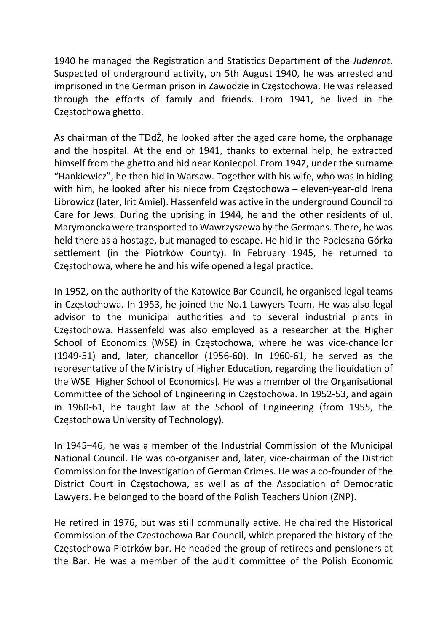1940 he managed the Registration and Statistics Department of the Judenrat. Suspected of underground activity, on 5th August 1940, he was arrested and imprisoned in the German prison in Zawodzie in Częstochowa. He was released through the efforts of family and friends. From 1941, he lived in the Częstochowa ghetto.

As chairman of the TDdŻ, he looked after the aged care home, the orphanage and the hospital. At the end of 1941, thanks to external help, he extracted himself from the ghetto and hid near Koniecpol. From 1942, under the surname "Hankiewicz", he then hid in Warsaw. Together with his wife, who was in hiding with him, he looked after his niece from Częstochowa – eleven-year-old Irena Librowicz (later, Irit Amiel). Hassenfeld was active in the underground Council to Care for Jews. During the uprising in 1944, he and the other residents of ul. Marymoncka were transported to Wawrzyszewa by the Germans. There, he was held there as a hostage, but managed to escape. He hid in the Pocieszna Górka settlement (in the Piotrków County). In February 1945, he returned to Częstochowa, where he and his wife opened a legal practice.

In 1952, on the authority of the Katowice Bar Council, he organised legal teams in Częstochowa. In 1953, he joined the No.1 Lawyers Team. He was also legal advisor to the municipal authorities and to several industrial plants in Częstochowa. Hassenfeld was also employed as a researcher at the Higher School of Economics (WSE) in Częstochowa, where he was vice-chancellor (1949-51) and, later, chancellor (1956-60). In 1960-61, he served as the representative of the Ministry of Higher Education, regarding the liquidation of the WSE [Higher School of Economics]. He was a member of the Organisational Committee of the School of Engineering in Częstochowa. In 1952-53, and again in 1960-61, he taught law at the School of Engineering (from 1955, the Częstochowa University of Technology).

In 1945–46, he was a member of the Industrial Commission of the Municipal National Council. He was co-organiser and, later, vice-chairman of the District Commission for the Investigation of German Crimes. He was a co-founder of the District Court in Częstochowa, as well as of the Association of Democratic Lawyers. He belonged to the board of the Polish Teachers Union (ZNP).

He retired in 1976, but was still communally active. He chaired the Historical Commission of the Czestochowa Bar Council, which prepared the history of the Częstochowa-Piotrków bar. He headed the group of retirees and pensioners at the Bar. He was a member of the audit committee of the Polish Economic